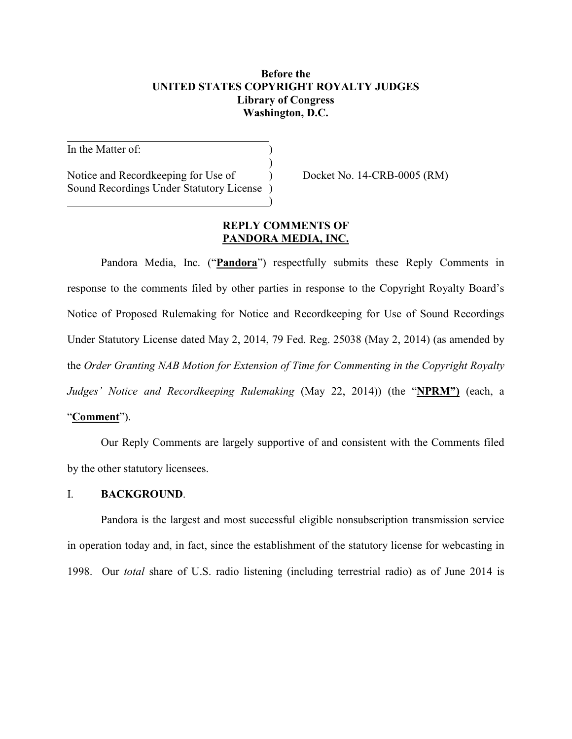### **Before the UNITED STATES COPYRIGHT ROYALTY JUDGES Library of Congress Washington, D.C.**

In the Matter of:

Notice and Recordkeeping for Use of  $Docket No. 14-CRB-0005 (RM)$ Sound Recordings Under Statutory License )

### **REPLY COMMENTS OF PANDORA MEDIA, INC.**

)

)

Pandora Media, Inc. ("**Pandora**") respectfully submits these Reply Comments in response to the comments filed by other parties in response to the Copyright Royalty Board's Notice of Proposed Rulemaking for Notice and Recordkeeping for Use of Sound Recordings Under Statutory License dated May 2, 2014, 79 Fed. Reg. 25038 (May 2, 2014) (as amended by the *Order Granting NAB Motion for Extension of Time for Commenting in the Copyright Royalty Judges' Notice and Recordkeeping Rulemaking* (May 22, 2014)) (the "**NPRM")** (each, a

## "**Comment**").

Our Reply Comments are largely supportive of and consistent with the Comments filed by the other statutory licensees.

### I. **BACKGROUND**.

Pandora is the largest and most successful eligible nonsubscription transmission service in operation today and, in fact, since the establishment of the statutory license for webcasting in 1998. Our *total* share of U.S. radio listening (including terrestrial radio) as of June 2014 is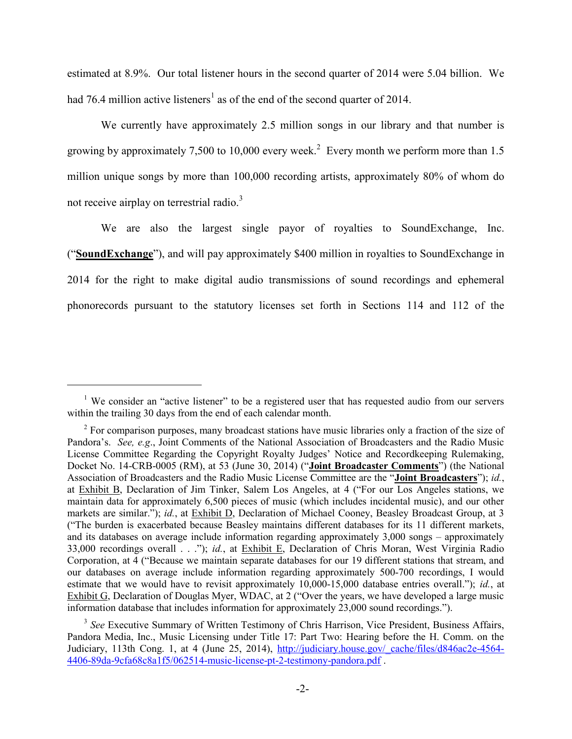estimated at 8.9%. Our total listener hours in the second quarter of 2014 were 5.04 billion. We had 76.4 million active listeners<sup>1</sup> as of the end of the second quarter of 2014.

We currently have approximately 2.5 million songs in our library and that number is growing by approximately 7,500 to 10,000 every week.<sup>2</sup> Every month we perform more than 1.5 million unique songs by more than 100,000 recording artists, approximately 80% of whom do not receive airplay on terrestrial radio.<sup>3</sup>

We are also the largest single payor of royalties to SoundExchange, Inc. ("**SoundExchange**"), and will pay approximately \$400 million in royalties to SoundExchange in 2014 for the right to make digital audio transmissions of sound recordings and ephemeral phonorecords pursuant to the statutory licenses set forth in Sections 114 and 112 of the

<sup>&</sup>lt;sup>1</sup> We consider an "active listener" to be a registered user that has requested audio from our servers within the trailing 30 days from the end of each calendar month.

<sup>&</sup>lt;sup>2</sup> For comparison purposes, many broadcast stations have music libraries only a fraction of the size of Pandora's. *See, e.g*., Joint Comments of the National Association of Broadcasters and the Radio Music License Committee Regarding the Copyright Royalty Judges' Notice and Recordkeeping Rulemaking, Docket No. 14-CRB-0005 (RM), at 53 (June 30, 2014) ("**Joint Broadcaster Comments**") (the National Association of Broadcasters and the Radio Music License Committee are the "**Joint Broadcasters**"); *id.*, at Exhibit B, Declaration of Jim Tinker, Salem Los Angeles, at 4 ("For our Los Angeles stations, we maintain data for approximately 6,500 pieces of music (which includes incidental music), and our other markets are similar."); *id.*, at Exhibit D, Declaration of Michael Cooney, Beasley Broadcast Group, at 3 ("The burden is exacerbated because Beasley maintains different databases for its 11 different markets, and its databases on average include information regarding approximately 3,000 songs – approximately 33,000 recordings overall . . ."); *id.*, at Exhibit E, Declaration of Chris Moran, West Virginia Radio Corporation, at 4 ("Because we maintain separate databases for our 19 different stations that stream, and our databases on average include information regarding approximately 500-700 recordings, I would estimate that we would have to revisit approximately 10,000-15,000 database entries overall."); *id.*, at Exhibit G, Declaration of Douglas Myer, WDAC, at 2 ("Over the years, we have developed a large music information database that includes information for approximately 23,000 sound recordings.").

<sup>&</sup>lt;sup>3</sup> See Executive Summary of Written Testimony of Chris Harrison, Vice President, Business Affairs, Pandora Media, Inc., Music Licensing under Title 17: Part Two: Hearing before the H. Comm. on the Judiciary, 113th Cong. 1, at 4 (June 25, 2014), http://judiciary.house.gov/\_cache/files/d846ac2e-4564- 4406-89da-9cfa68c8a1f5/062514-music-license-pt-2-testimony-pandora.pdf .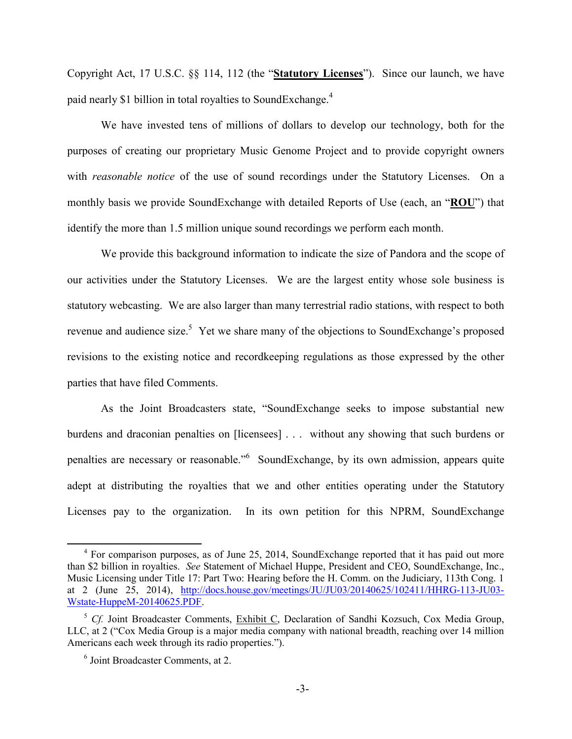Copyright Act, 17 U.S.C. §§ 114, 112 (the "**Statutory Licenses**"). Since our launch, we have paid nearly \$1 billion in total royalties to SoundExchange.<sup>4</sup>

We have invested tens of millions of dollars to develop our technology, both for the purposes of creating our proprietary Music Genome Project and to provide copyright owners with *reasonable notice* of the use of sound recordings under the Statutory Licenses. On a monthly basis we provide SoundExchange with detailed Reports of Use (each, an "**ROU**") that identify the more than 1.5 million unique sound recordings we perform each month.

We provide this background information to indicate the size of Pandora and the scope of our activities under the Statutory Licenses. We are the largest entity whose sole business is statutory webcasting. We are also larger than many terrestrial radio stations, with respect to both revenue and audience size.<sup>5</sup> Yet we share many of the objections to SoundExchange's proposed revisions to the existing notice and recordkeeping regulations as those expressed by the other parties that have filed Comments.

As the Joint Broadcasters state, "SoundExchange seeks to impose substantial new burdens and draconian penalties on [licensees] . . . without any showing that such burdens or penalties are necessary or reasonable."<sup>6</sup> SoundExchange, by its own admission, appears quite adept at distributing the royalties that we and other entities operating under the Statutory Licenses pay to the organization. In its own petition for this NPRM, SoundExchange

<sup>&</sup>lt;sup>4</sup> For comparison purposes, as of June 25, 2014, SoundExchange reported that it has paid out more than \$2 billion in royalties. *See* Statement of Michael Huppe, President and CEO, SoundExchange, Inc., Music Licensing under Title 17: Part Two: Hearing before the H. Comm. on the Judiciary, 113th Cong. 1 at 2 (June 25, 2014), http://docs.house.gov/meetings/JU/JU03/20140625/102411/HHRG-113-JU03- Wstate-HuppeM-20140625.PDF.

<sup>&</sup>lt;sup>5</sup> *Cf.* Joint Broadcaster Comments, Exhibit C, Declaration of Sandhi Kozsuch, Cox Media Group, LLC, at 2 ("Cox Media Group is a major media company with national breadth, reaching over 14 million Americans each week through its radio properties.").

<sup>6</sup> Joint Broadcaster Comments, at 2.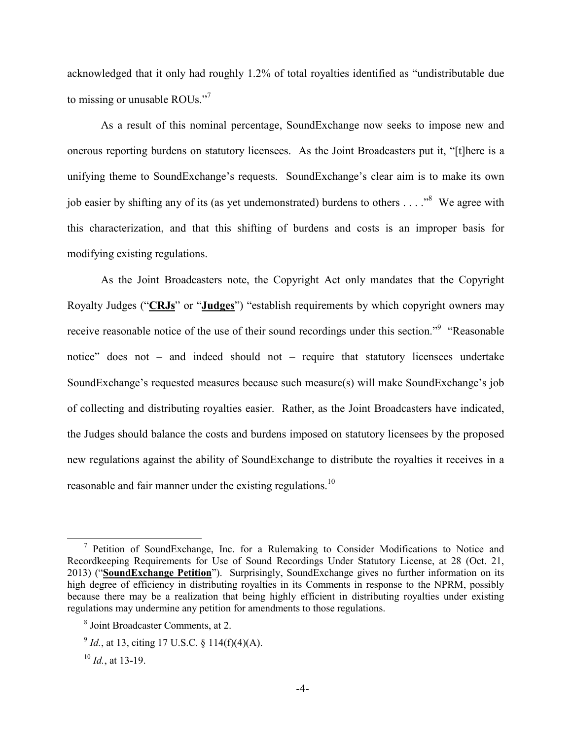acknowledged that it only had roughly 1.2% of total royalties identified as "undistributable due to missing or unusable ROUs."<sup>7</sup>

As a result of this nominal percentage, SoundExchange now seeks to impose new and onerous reporting burdens on statutory licensees. As the Joint Broadcasters put it, "[t]here is a unifying theme to SoundExchange's requests. SoundExchange's clear aim is to make its own job easier by shifting any of its (as yet undemonstrated) burdens to others  $\dots$ . <sup>8</sup> We agree with this characterization, and that this shifting of burdens and costs is an improper basis for modifying existing regulations.

As the Joint Broadcasters note, the Copyright Act only mandates that the Copyright Royalty Judges ("**CRJs**" or "**Judges**") "establish requirements by which copyright owners may receive reasonable notice of the use of their sound recordings under this section."<sup>9</sup> "Reasonable notice" does not – and indeed should not – require that statutory licensees undertake SoundExchange's requested measures because such measure(s) will make SoundExchange's job of collecting and distributing royalties easier. Rather, as the Joint Broadcasters have indicated, the Judges should balance the costs and burdens imposed on statutory licensees by the proposed new regulations against the ability of SoundExchange to distribute the royalties it receives in a reasonable and fair manner under the existing regulations.<sup>10</sup>

<sup>&</sup>lt;sup>7</sup> Petition of SoundExchange, Inc. for a Rulemaking to Consider Modifications to Notice and Recordkeeping Requirements for Use of Sound Recordings Under Statutory License, at 28 (Oct. 21, 2013) ("**SoundExchange Petition**"). Surprisingly, SoundExchange gives no further information on its high degree of efficiency in distributing royalties in its Comments in response to the NPRM, possibly because there may be a realization that being highly efficient in distributing royalties under existing regulations may undermine any petition for amendments to those regulations.

<sup>8</sup> Joint Broadcaster Comments, at 2.

 $^{9}$  *Id.*, at 13, citing 17 U.S.C. § 114(f)(4)(A).

 $^{10}$  *Id.*, at 13-19.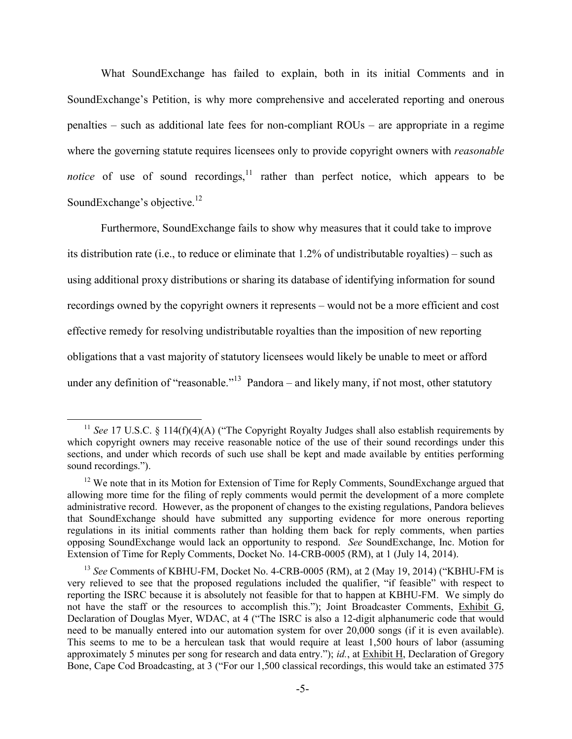What SoundExchange has failed to explain, both in its initial Comments and in SoundExchange's Petition, is why more comprehensive and accelerated reporting and onerous penalties – such as additional late fees for non-compliant ROUs – are appropriate in a regime where the governing statute requires licensees only to provide copyright owners with *reasonable notice* of use of sound recordings, $\frac{11}{11}$  rather than perfect notice, which appears to be SoundExchange's objective.<sup>12</sup>

Furthermore, SoundExchange fails to show why measures that it could take to improve its distribution rate (i.e., to reduce or eliminate that 1.2% of undistributable royalties) – such as using additional proxy distributions or sharing its database of identifying information for sound recordings owned by the copyright owners it represents – would not be a more efficient and cost effective remedy for resolving undistributable royalties than the imposition of new reporting obligations that a vast majority of statutory licensees would likely be unable to meet or afford under any definition of "reasonable."<sup>13</sup> Pandora – and likely many, if not most, other statutory

<sup>&</sup>lt;sup>11</sup> See 17 U.S.C. § 114(f)(4)(A) ("The Copyright Royalty Judges shall also establish requirements by which copyright owners may receive reasonable notice of the use of their sound recordings under this sections, and under which records of such use shall be kept and made available by entities performing sound recordings.").

<sup>&</sup>lt;sup>12</sup> We note that in its Motion for Extension of Time for Reply Comments, SoundExchange argued that allowing more time for the filing of reply comments would permit the development of a more complete administrative record. However, as the proponent of changes to the existing regulations, Pandora believes that SoundExchange should have submitted any supporting evidence for more onerous reporting regulations in its initial comments rather than holding them back for reply comments, when parties opposing SoundExchange would lack an opportunity to respond. *See* SoundExchange, Inc. Motion for Extension of Time for Reply Comments, Docket No. 14-CRB-0005 (RM), at 1 (July 14, 2014).

<sup>&</sup>lt;sup>13</sup> See Comments of KBHU-FM, Docket No. 4-CRB-0005 (RM), at 2 (May 19, 2014) ("KBHU-FM is very relieved to see that the proposed regulations included the qualifier, "if feasible" with respect to reporting the ISRC because it is absolutely not feasible for that to happen at KBHU-FM. We simply do not have the staff or the resources to accomplish this."); Joint Broadcaster Comments, Exhibit G, Declaration of Douglas Myer, WDAC, at 4 ("The ISRC is also a 12-digit alphanumeric code that would need to be manually entered into our automation system for over 20,000 songs (if it is even available). This seems to me to be a herculean task that would require at least 1,500 hours of labor (assuming approximately 5 minutes per song for research and data entry."); *id.*, at Exhibit H, Declaration of Gregory Bone, Cape Cod Broadcasting, at 3 ("For our 1,500 classical recordings, this would take an estimated 375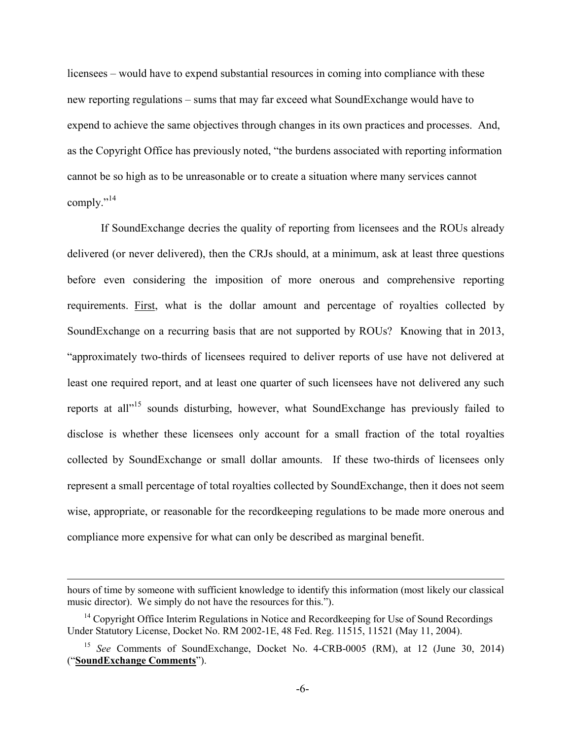licensees – would have to expend substantial resources in coming into compliance with these new reporting regulations – sums that may far exceed what SoundExchange would have to expend to achieve the same objectives through changes in its own practices and processes. And, as the Copyright Office has previously noted, "the burdens associated with reporting information cannot be so high as to be unreasonable or to create a situation where many services cannot comply."<sup>14</sup>

If SoundExchange decries the quality of reporting from licensees and the ROUs already delivered (or never delivered), then the CRJs should, at a minimum, ask at least three questions before even considering the imposition of more onerous and comprehensive reporting requirements. First, what is the dollar amount and percentage of royalties collected by SoundExchange on a recurring basis that are not supported by ROUs? Knowing that in 2013, "approximately two-thirds of licensees required to deliver reports of use have not delivered at least one required report, and at least one quarter of such licensees have not delivered any such reports at all"<sup>15</sup> sounds disturbing, however, what SoundExchange has previously failed to disclose is whether these licensees only account for a small fraction of the total royalties collected by SoundExchange or small dollar amounts. If these two-thirds of licensees only represent a small percentage of total royalties collected by SoundExchange, then it does not seem wise, appropriate, or reasonable for the recordkeeping regulations to be made more onerous and compliance more expensive for what can only be described as marginal benefit.

hours of time by someone with sufficient knowledge to identify this information (most likely our classical music director). We simply do not have the resources for this.").

 $14$  Copyright Office Interim Regulations in Notice and Recordkeeping for Use of Sound Recordings Under Statutory License, Docket No. RM 2002-1E, 48 Fed. Reg. 11515, 11521 (May 11, 2004).

<sup>15</sup> *See* Comments of SoundExchange, Docket No. 4-CRB-0005 (RM), at 12 (June 30, 2014) ("**SoundExchange Comments**").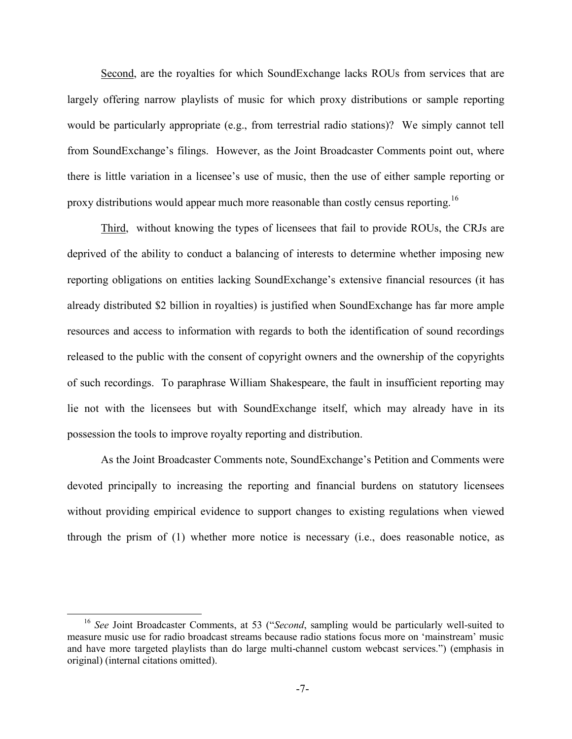Second, are the royalties for which SoundExchange lacks ROUs from services that are largely offering narrow playlists of music for which proxy distributions or sample reporting would be particularly appropriate (e.g., from terrestrial radio stations)? We simply cannot tell from SoundExchange's filings. However, as the Joint Broadcaster Comments point out, where there is little variation in a licensee's use of music, then the use of either sample reporting or proxy distributions would appear much more reasonable than costly census reporting.<sup>16</sup>

Third, without knowing the types of licensees that fail to provide ROUs, the CRJs are deprived of the ability to conduct a balancing of interests to determine whether imposing new reporting obligations on entities lacking SoundExchange's extensive financial resources (it has already distributed \$2 billion in royalties) is justified when SoundExchange has far more ample resources and access to information with regards to both the identification of sound recordings released to the public with the consent of copyright owners and the ownership of the copyrights of such recordings. To paraphrase William Shakespeare, the fault in insufficient reporting may lie not with the licensees but with SoundExchange itself, which may already have in its possession the tools to improve royalty reporting and distribution.

As the Joint Broadcaster Comments note, SoundExchange's Petition and Comments were devoted principally to increasing the reporting and financial burdens on statutory licensees without providing empirical evidence to support changes to existing regulations when viewed through the prism of (1) whether more notice is necessary (i.e., does reasonable notice, as

<sup>16</sup> *See* Joint Broadcaster Comments, at 53 ("*Second*, sampling would be particularly well-suited to measure music use for radio broadcast streams because radio stations focus more on 'mainstream' music and have more targeted playlists than do large multi-channel custom webcast services.") (emphasis in original) (internal citations omitted).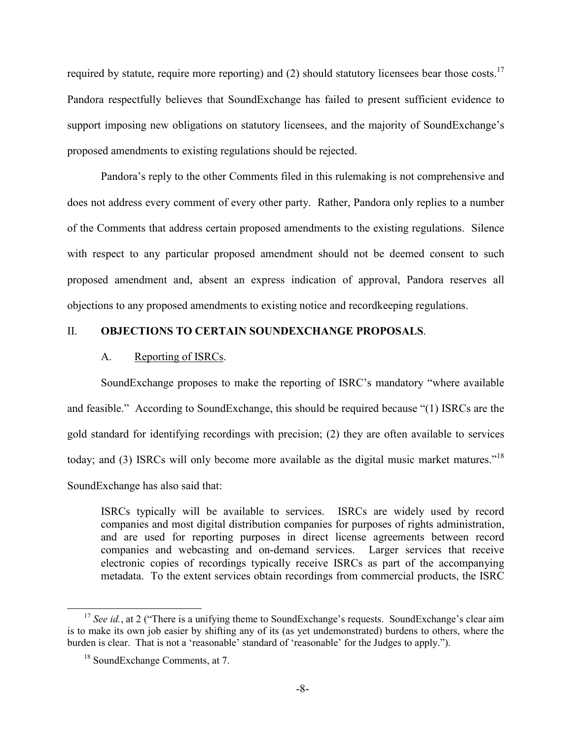required by statute, require more reporting) and (2) should statutory licensees bear those costs.<sup>17</sup> Pandora respectfully believes that SoundExchange has failed to present sufficient evidence to support imposing new obligations on statutory licensees, and the majority of SoundExchange's proposed amendments to existing regulations should be rejected.

Pandora's reply to the other Comments filed in this rulemaking is not comprehensive and does not address every comment of every other party. Rather, Pandora only replies to a number of the Comments that address certain proposed amendments to the existing regulations. Silence with respect to any particular proposed amendment should not be deemed consent to such proposed amendment and, absent an express indication of approval, Pandora reserves all objections to any proposed amendments to existing notice and recordkeeping regulations.

## II. **OBJECTIONS TO CERTAIN SOUNDEXCHANGE PROPOSALS**.

#### A. Reporting of ISRCs.

SoundExchange proposes to make the reporting of ISRC's mandatory "where available and feasible." According to SoundExchange, this should be required because "(1) ISRCs are the gold standard for identifying recordings with precision; (2) they are often available to services today; and (3) ISRCs will only become more available as the digital music market matures."<sup>18</sup> SoundExchange has also said that:

ISRCs typically will be available to services. ISRCs are widely used by record companies and most digital distribution companies for purposes of rights administration, and are used for reporting purposes in direct license agreements between record companies and webcasting and on-demand services. Larger services that receive electronic copies of recordings typically receive ISRCs as part of the accompanying metadata. To the extent services obtain recordings from commercial products, the ISRC

<sup>&</sup>lt;sup>17</sup> *See id.*, at 2 ("There is a unifying theme to SoundExchange's requests. SoundExchange's clear aim is to make its own job easier by shifting any of its (as yet undemonstrated) burdens to others, where the burden is clear. That is not a 'reasonable' standard of 'reasonable' for the Judges to apply.").

<sup>18</sup> SoundExchange Comments, at 7.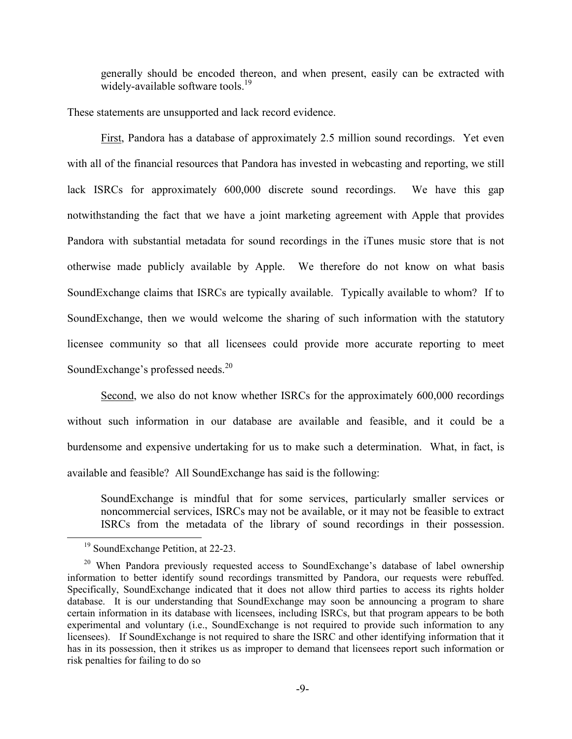generally should be encoded thereon, and when present, easily can be extracted with widely-available software tools.<sup>19</sup>

These statements are unsupported and lack record evidence.

First, Pandora has a database of approximately 2.5 million sound recordings. Yet even with all of the financial resources that Pandora has invested in webcasting and reporting, we still lack ISRCs for approximately 600,000 discrete sound recordings. We have this gap notwithstanding the fact that we have a joint marketing agreement with Apple that provides Pandora with substantial metadata for sound recordings in the iTunes music store that is not otherwise made publicly available by Apple. We therefore do not know on what basis SoundExchange claims that ISRCs are typically available. Typically available to whom? If to SoundExchange, then we would welcome the sharing of such information with the statutory licensee community so that all licensees could provide more accurate reporting to meet SoundExchange's professed needs.<sup>20</sup>

Second, we also do not know whether ISRCs for the approximately 600,000 recordings without such information in our database are available and feasible, and it could be a burdensome and expensive undertaking for us to make such a determination. What, in fact, is available and feasible? All SoundExchange has said is the following:

SoundExchange is mindful that for some services, particularly smaller services or noncommercial services, ISRCs may not be available, or it may not be feasible to extract ISRCs from the metadata of the library of sound recordings in their possession.

<sup>&</sup>lt;sup>19</sup> SoundExchange Petition, at 22-23.

 $20$  When Pandora previously requested access to SoundExchange's database of label ownership information to better identify sound recordings transmitted by Pandora, our requests were rebuffed. Specifically, SoundExchange indicated that it does not allow third parties to access its rights holder database. It is our understanding that SoundExchange may soon be announcing a program to share certain information in its database with licensees, including ISRCs, but that program appears to be both experimental and voluntary (i.e., SoundExchange is not required to provide such information to any licensees). If SoundExchange is not required to share the ISRC and other identifying information that it has in its possession, then it strikes us as improper to demand that licensees report such information or risk penalties for failing to do so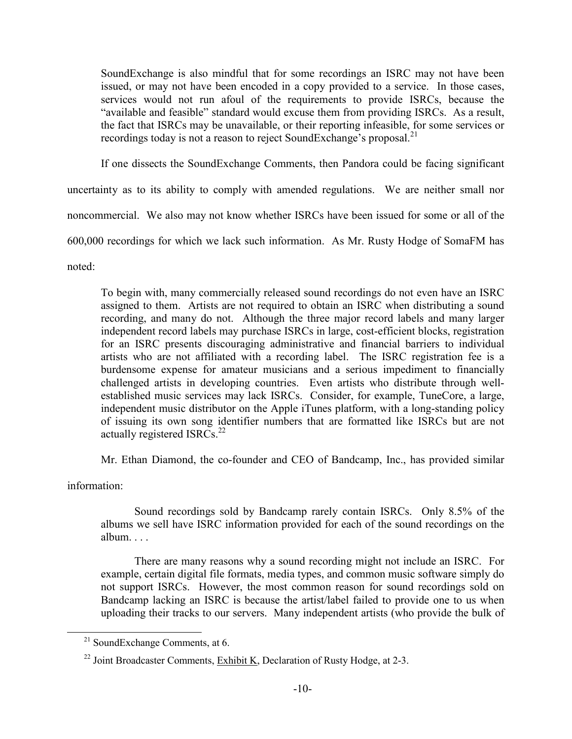SoundExchange is also mindful that for some recordings an ISRC may not have been issued, or may not have been encoded in a copy provided to a service. In those cases, services would not run afoul of the requirements to provide ISRCs, because the "available and feasible" standard would excuse them from providing ISRCs. As a result, the fact that ISRCs may be unavailable, or their reporting infeasible, for some services or recordings today is not a reason to reject SoundExchange's proposal.<sup>21</sup>

If one dissects the SoundExchange Comments, then Pandora could be facing significant

uncertainty as to its ability to comply with amended regulations. We are neither small nor noncommercial. We also may not know whether ISRCs have been issued for some or all of the 600,000 recordings for which we lack such information. As Mr. Rusty Hodge of SomaFM has noted:

To begin with, many commercially released sound recordings do not even have an ISRC assigned to them. Artists are not required to obtain an ISRC when distributing a sound recording, and many do not. Although the three major record labels and many larger independent record labels may purchase ISRCs in large, cost-efficient blocks, registration for an ISRC presents discouraging administrative and financial barriers to individual artists who are not affiliated with a recording label. The ISRC registration fee is a burdensome expense for amateur musicians and a serious impediment to financially challenged artists in developing countries. Even artists who distribute through wellestablished music services may lack ISRCs. Consider, for example, TuneCore, a large, independent music distributor on the Apple iTunes platform, with a long-standing policy of issuing its own song identifier numbers that are formatted like ISRCs but are not actually registered ISRCs. $^{22}$ 

Mr. Ethan Diamond, the co-founder and CEO of Bandcamp, Inc., has provided similar

information:

Sound recordings sold by Bandcamp rarely contain ISRCs. Only 8.5% of the albums we sell have ISRC information provided for each of the sound recordings on the album

There are many reasons why a sound recording might not include an ISRC. For example, certain digital file formats, media types, and common music software simply do not support ISRCs. However, the most common reason for sound recordings sold on Bandcamp lacking an ISRC is because the artist/label failed to provide one to us when uploading their tracks to our servers. Many independent artists (who provide the bulk of

 $21$  SoundExchange Comments, at 6.

 $^{22}$  Joint Broadcaster Comments, Exhibit K, Declaration of Rusty Hodge, at 2-3.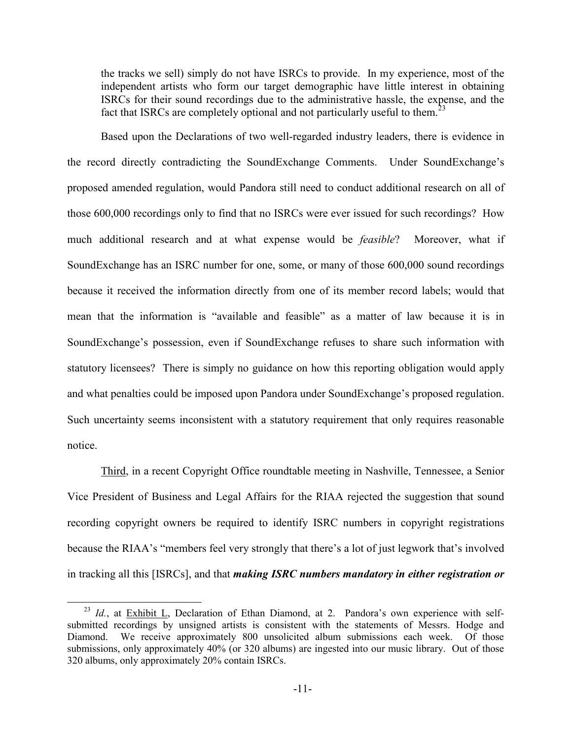the tracks we sell) simply do not have ISRCs to provide. In my experience, most of the independent artists who form our target demographic have little interest in obtaining ISRCs for their sound recordings due to the administrative hassle, the expense, and the fact that ISRCs are completely optional and not particularly useful to them.<sup>23</sup>

Based upon the Declarations of two well-regarded industry leaders, there is evidence in the record directly contradicting the SoundExchange Comments. Under SoundExchange's proposed amended regulation, would Pandora still need to conduct additional research on all of those 600,000 recordings only to find that no ISRCs were ever issued for such recordings? How much additional research and at what expense would be *feasible*? Moreover, what if SoundExchange has an ISRC number for one, some, or many of those 600,000 sound recordings because it received the information directly from one of its member record labels; would that mean that the information is "available and feasible" as a matter of law because it is in SoundExchange's possession, even if SoundExchange refuses to share such information with statutory licensees? There is simply no guidance on how this reporting obligation would apply and what penalties could be imposed upon Pandora under SoundExchange's proposed regulation. Such uncertainty seems inconsistent with a statutory requirement that only requires reasonable notice.

Third, in a recent Copyright Office roundtable meeting in Nashville, Tennessee, a Senior Vice President of Business and Legal Affairs for the RIAA rejected the suggestion that sound recording copyright owners be required to identify ISRC numbers in copyright registrations because the RIAA's "members feel very strongly that there's a lot of just legwork that's involved in tracking all this [ISRCs], and that *making ISRC numbers mandatory in either registration or*

<sup>&</sup>lt;sup>23</sup> *Id.*, at Exhibit L, Declaration of Ethan Diamond, at 2. Pandora's own experience with selfsubmitted recordings by unsigned artists is consistent with the statements of Messrs. Hodge and Diamond. We receive approximately 800 unsolicited album submissions each week. Of those submissions, only approximately 40% (or 320 albums) are ingested into our music library. Out of those 320 albums, only approximately 20% contain ISRCs.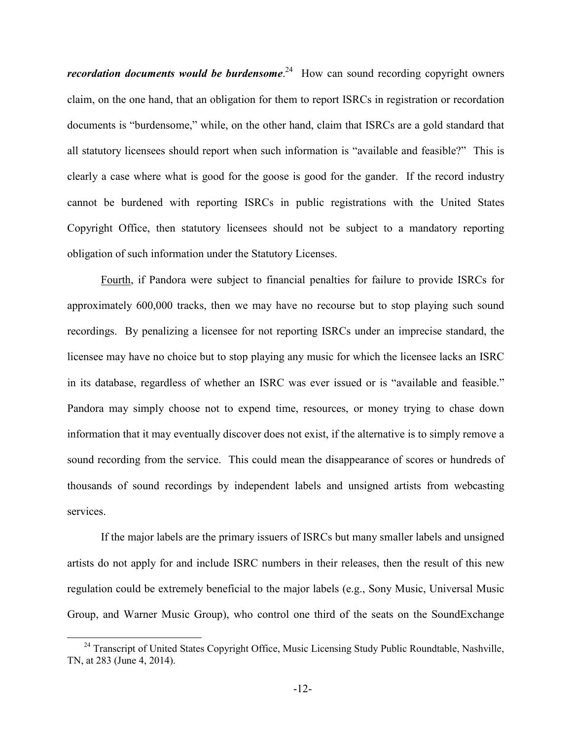recordation documents would be burdensome.<sup>24</sup> How can sound recording copyright owners claim, on the one hand, that an obligation for them to report ISRCs in registration or recordation documents is "burdensome," while, on the other hand, claim that ISRCs are a gold standard that all statutory licensees should report when such information is "available and feasible?" This is clearly a case where what is good for the goose is good for the gander. If the record industry cannot be burdened with reporting ISRCs in public registrations with the United States Copyright Office, then statutory licensees should not be subject to a mandatory reporting obligation of such information under the Statutory Licenses.

Fourth, if Pandora were subject to financial penalties for failure to provide ISRCs for approximately 600,000 tracks, then we may have no recourse but to stop playing such sound recordings. By penalizing a licensee for not reporting ISRCs under an imprecise standard, the licensee may have no choice but to stop playing any music for which the licensee lacks an ISRC in its database, regardless of whether an ISRC was ever issued or is "available and feasible." Pandora may simply choose not to expend time, resources, or money trying to chase down information that it may eventually discover does not exist, if the alternative is to simply remove a sound recording from the service. This could mean the disappearance of scores or hundreds of thousands of sound recordings by independent labels and unsigned artists from webcasting services.

If the major labels are the primary issuers of ISRCs but many smaller labels and unsigned artists do not apply for and include ISRC numbers in their releases, then the result of this new regulation could be extremely beneficial to the major labels (e.g., Sony Music, Universal Music Group, and Warner Music Group), who control one third of the seats on the SoundExchange

<sup>&</sup>lt;sup>24</sup> Transcript of United States Copyright Office, Music Licensing Study Public Roundtable, Nashville, TN, at 283 (June 4, 2014).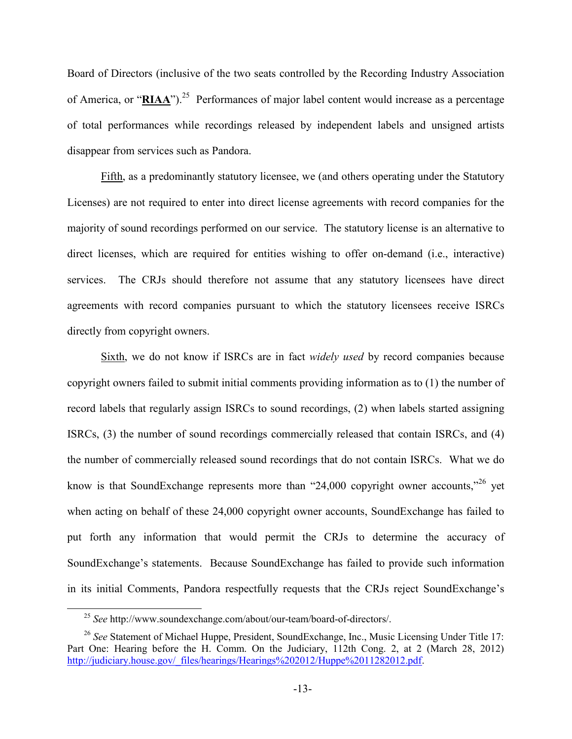Board of Directors (inclusive of the two seats controlled by the Recording Industry Association of America, or "**RIAA**").<sup>25</sup> Performances of major label content would increase as a percentage of total performances while recordings released by independent labels and unsigned artists disappear from services such as Pandora.

Fifth, as a predominantly statutory licensee, we (and others operating under the Statutory Licenses) are not required to enter into direct license agreements with record companies for the majority of sound recordings performed on our service. The statutory license is an alternative to direct licenses, which are required for entities wishing to offer on-demand (i.e., interactive) services. The CRJs should therefore not assume that any statutory licensees have direct agreements with record companies pursuant to which the statutory licensees receive ISRCs directly from copyright owners.

Sixth, we do not know if ISRCs are in fact *widely used* by record companies because copyright owners failed to submit initial comments providing information as to (1) the number of record labels that regularly assign ISRCs to sound recordings, (2) when labels started assigning ISRCs, (3) the number of sound recordings commercially released that contain ISRCs, and (4) the number of commercially released sound recordings that do not contain ISRCs. What we do know is that SoundExchange represents more than "24,000 copyright owner accounts,"<sup>26</sup> yet when acting on behalf of these 24,000 copyright owner accounts, SoundExchange has failed to put forth any information that would permit the CRJs to determine the accuracy of SoundExchange's statements. Because SoundExchange has failed to provide such information in its initial Comments, Pandora respectfully requests that the CRJs reject SoundExchange's

<sup>25</sup> *See* http://www.soundexchange.com/about/our-team/board-of-directors/.

<sup>26</sup> *See* Statement of Michael Huppe, President, SoundExchange, Inc., Music Licensing Under Title 17: Part One: Hearing before the H. Comm. On the Judiciary, 112th Cong. 2, at 2 (March 28, 2012) http://judiciary.house.gov/\_files/hearings/Hearings%202012/Huppe%2011282012.pdf.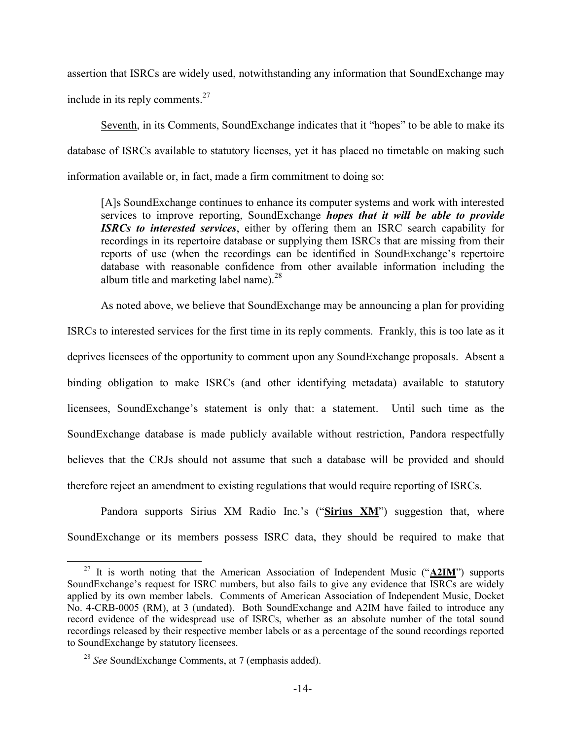assertion that ISRCs are widely used, notwithstanding any information that SoundExchange may include in its reply comments.<sup>27</sup>

Seventh, in its Comments, SoundExchange indicates that it "hopes" to be able to make its database of ISRCs available to statutory licenses, yet it has placed no timetable on making such information available or, in fact, made a firm commitment to doing so:

[A]s SoundExchange continues to enhance its computer systems and work with interested services to improve reporting, SoundExchange *hopes that it will be able to provide ISRCs to interested services*, either by offering them an ISRC search capability for recordings in its repertoire database or supplying them ISRCs that are missing from their reports of use (when the recordings can be identified in SoundExchange's repertoire database with reasonable confidence from other available information including the album title and marketing label name).<sup>28</sup>

As noted above, we believe that SoundExchange may be announcing a plan for providing

ISRCs to interested services for the first time in its reply comments. Frankly, this is too late as it deprives licensees of the opportunity to comment upon any SoundExchange proposals. Absent a binding obligation to make ISRCs (and other identifying metadata) available to statutory licensees, SoundExchange's statement is only that: a statement. Until such time as the SoundExchange database is made publicly available without restriction, Pandora respectfully believes that the CRJs should not assume that such a database will be provided and should therefore reject an amendment to existing regulations that would require reporting of ISRCs.

Pandora supports Sirius XM Radio Inc.'s ("**Sirius XM**") suggestion that, where SoundExchange or its members possess ISRC data, they should be required to make that

<sup>27</sup> It is worth noting that the American Association of Independent Music ("**A2IM**") supports SoundExchange's request for ISRC numbers, but also fails to give any evidence that ISRCs are widely applied by its own member labels. Comments of American Association of Independent Music, Docket No. 4-CRB-0005 (RM), at 3 (undated). Both SoundExchange and A2IM have failed to introduce any record evidence of the widespread use of ISRCs, whether as an absolute number of the total sound recordings released by their respective member labels or as a percentage of the sound recordings reported to SoundExchange by statutory licensees.

<sup>28</sup> *See* SoundExchange Comments, at 7 (emphasis added).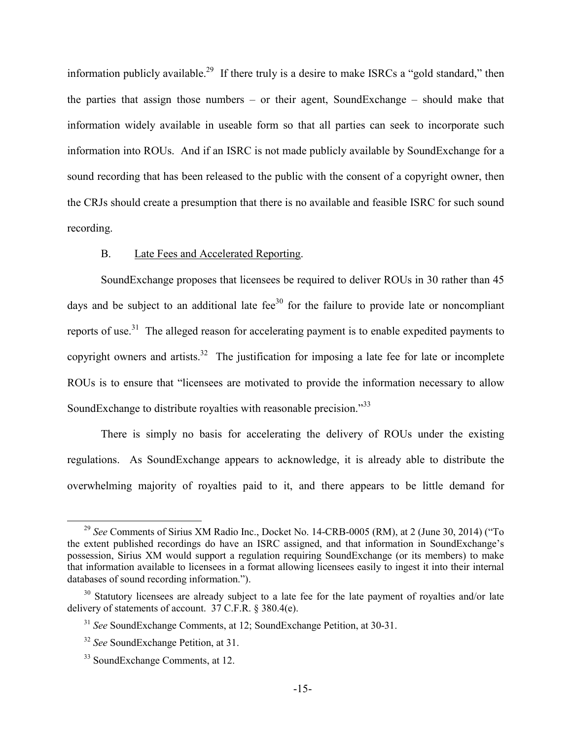information publicly available.<sup>29</sup> If there truly is a desire to make ISRCs a "gold standard," then the parties that assign those numbers – or their agent, SoundExchange – should make that information widely available in useable form so that all parties can seek to incorporate such information into ROUs. And if an ISRC is not made publicly available by SoundExchange for a sound recording that has been released to the public with the consent of a copyright owner, then the CRJs should create a presumption that there is no available and feasible ISRC for such sound recording.

## B. Late Fees and Accelerated Reporting.

SoundExchange proposes that licensees be required to deliver ROUs in 30 rather than 45 days and be subject to an additional late fee<sup>30</sup> for the failure to provide late or noncompliant reports of use.<sup>31</sup> The alleged reason for accelerating payment is to enable expedited payments to copyright owners and artists.<sup>32</sup> The justification for imposing a late fee for late or incomplete ROUs is to ensure that "licensees are motivated to provide the information necessary to allow SoundExchange to distribute royalties with reasonable precision.<sup>33</sup>

There is simply no basis for accelerating the delivery of ROUs under the existing regulations. As SoundExchange appears to acknowledge, it is already able to distribute the overwhelming majority of royalties paid to it, and there appears to be little demand for

<sup>&</sup>lt;sup>29</sup> See Comments of Sirius XM Radio Inc., Docket No. 14-CRB-0005 (RM), at 2 (June 30, 2014) ("To the extent published recordings do have an ISRC assigned, and that information in SoundExchange's possession, Sirius XM would support a regulation requiring SoundExchange (or its members) to make that information available to licensees in a format allowing licensees easily to ingest it into their internal databases of sound recording information.").

<sup>&</sup>lt;sup>30</sup> Statutory licensees are already subject to a late fee for the late payment of royalties and/or late delivery of statements of account. 37 C.F.R. § 380.4(e).

<sup>31</sup> *See* SoundExchange Comments, at 12; SoundExchange Petition, at 30-31.

<sup>32</sup> *See* SoundExchange Petition, at 31.

<sup>33</sup> SoundExchange Comments, at 12.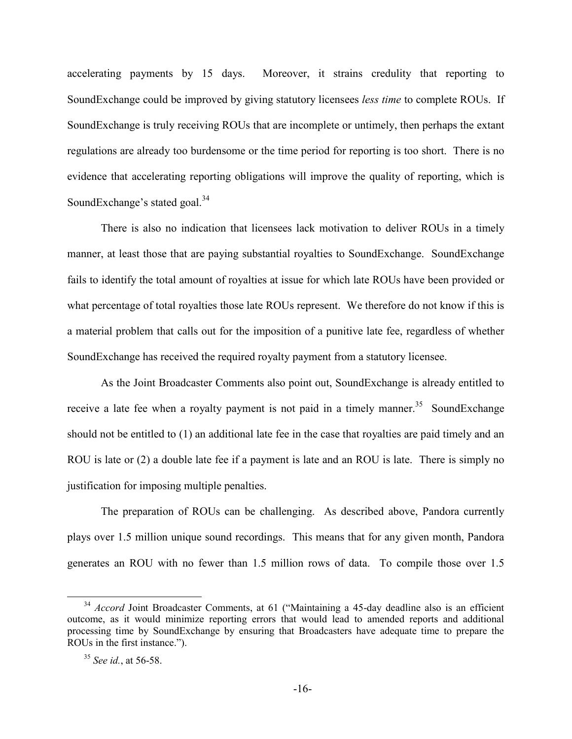accelerating payments by 15 days. Moreover, it strains credulity that reporting to SoundExchange could be improved by giving statutory licensees *less time* to complete ROUs. If SoundExchange is truly receiving ROUs that are incomplete or untimely, then perhaps the extant regulations are already too burdensome or the time period for reporting is too short. There is no evidence that accelerating reporting obligations will improve the quality of reporting, which is SoundExchange's stated goal.<sup>34</sup>

There is also no indication that licensees lack motivation to deliver ROUs in a timely manner, at least those that are paying substantial royalties to SoundExchange. SoundExchange fails to identify the total amount of royalties at issue for which late ROUs have been provided or what percentage of total royalties those late ROUs represent. We therefore do not know if this is a material problem that calls out for the imposition of a punitive late fee, regardless of whether SoundExchange has received the required royalty payment from a statutory licensee.

As the Joint Broadcaster Comments also point out, SoundExchange is already entitled to receive a late fee when a royalty payment is not paid in a timely manner.<sup>35</sup> SoundExchange should not be entitled to (1) an additional late fee in the case that royalties are paid timely and an ROU is late or (2) a double late fee if a payment is late and an ROU is late. There is simply no justification for imposing multiple penalties.

The preparation of ROUs can be challenging. As described above, Pandora currently plays over 1.5 million unique sound recordings. This means that for any given month, Pandora generates an ROU with no fewer than 1.5 million rows of data. To compile those over 1.5

<sup>&</sup>lt;sup>34</sup> *Accord* Joint Broadcaster Comments, at 61 ("Maintaining a 45-day deadline also is an efficient outcome, as it would minimize reporting errors that would lead to amended reports and additional processing time by SoundExchange by ensuring that Broadcasters have adequate time to prepare the ROUs in the first instance.").

<sup>35</sup> *See id.*, at 56-58.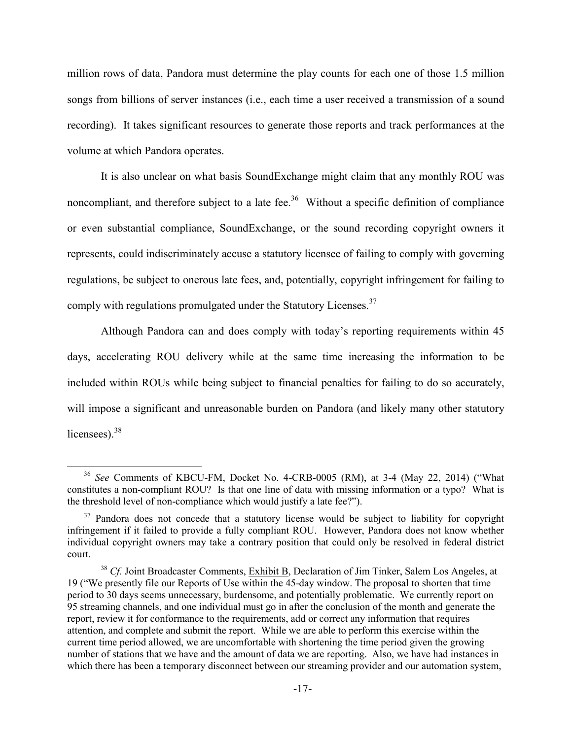million rows of data, Pandora must determine the play counts for each one of those 1.5 million songs from billions of server instances (i.e., each time a user received a transmission of a sound recording). It takes significant resources to generate those reports and track performances at the volume at which Pandora operates.

It is also unclear on what basis SoundExchange might claim that any monthly ROU was noncompliant, and therefore subject to a late fee.<sup>36</sup> Without a specific definition of compliance or even substantial compliance, SoundExchange, or the sound recording copyright owners it represents, could indiscriminately accuse a statutory licensee of failing to comply with governing regulations, be subject to onerous late fees, and, potentially, copyright infringement for failing to comply with regulations promulgated under the Statutory Licenses.<sup>37</sup>

Although Pandora can and does comply with today's reporting requirements within 45 days, accelerating ROU delivery while at the same time increasing the information to be included within ROUs while being subject to financial penalties for failing to do so accurately, will impose a significant and unreasonable burden on Pandora (and likely many other statutory licensees).<sup>38</sup>

<sup>36</sup> *See* Comments of KBCU-FM, Docket No. 4-CRB-0005 (RM), at 3-4 (May 22, 2014) ("What constitutes a non-compliant ROU? Is that one line of data with missing information or a typo? What is the threshold level of non-compliance which would justify a late fee?").

<sup>&</sup>lt;sup>37</sup> Pandora does not concede that a statutory license would be subject to liability for copyright infringement if it failed to provide a fully compliant ROU. However, Pandora does not know whether individual copyright owners may take a contrary position that could only be resolved in federal district court.

<sup>38</sup> *Cf.* Joint Broadcaster Comments, Exhibit B, Declaration of Jim Tinker, Salem Los Angeles, at 19 ("We presently file our Reports of Use within the 45-day window. The proposal to shorten that time period to 30 days seems unnecessary, burdensome, and potentially problematic. We currently report on 95 streaming channels, and one individual must go in after the conclusion of the month and generate the report, review it for conformance to the requirements, add or correct any information that requires attention, and complete and submit the report. While we are able to perform this exercise within the current time period allowed, we are uncomfortable with shortening the time period given the growing number of stations that we have and the amount of data we are reporting. Also, we have had instances in which there has been a temporary disconnect between our streaming provider and our automation system,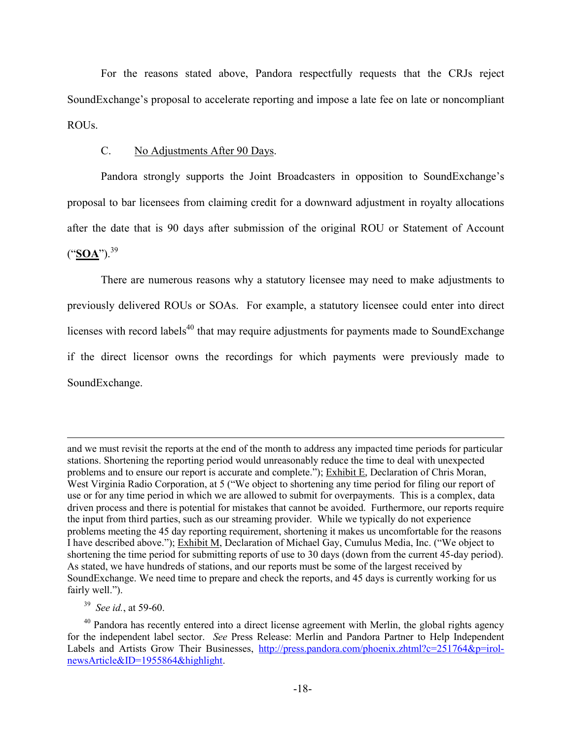For the reasons stated above, Pandora respectfully requests that the CRJs reject SoundExchange's proposal to accelerate reporting and impose a late fee on late or noncompliant ROUs.

#### C. No Adjustments After 90 Days.

Pandora strongly supports the Joint Broadcasters in opposition to SoundExchange's proposal to bar licensees from claiming credit for a downward adjustment in royalty allocations after the date that is 90 days after submission of the original ROU or Statement of Account  $("SOA")$ .<sup>39</sup>

There are numerous reasons why a statutory licensee may need to make adjustments to previously delivered ROUs or SOAs. For example, a statutory licensee could enter into direct licenses with record labels<sup>40</sup> that may require adjustments for payments made to SoundExchange if the direct licensor owns the recordings for which payments were previously made to SoundExchange.

and we must revisit the reports at the end of the month to address any impacted time periods for particular stations. Shortening the reporting period would unreasonably reduce the time to deal with unexpected problems and to ensure our report is accurate and complete."); Exhibit E, Declaration of Chris Moran, West Virginia Radio Corporation, at 5 ("We object to shortening any time period for filing our report of use or for any time period in which we are allowed to submit for overpayments. This is a complex, data driven process and there is potential for mistakes that cannot be avoided. Furthermore, our reports require the input from third parties, such as our streaming provider. While we typically do not experience problems meeting the 45 day reporting requirement, shortening it makes us uncomfortable for the reasons I have described above."); Exhibit M, Declaration of Michael Gay, Cumulus Media, Inc. ("We object to shortening the time period for submitting reports of use to 30 days (down from the current 45-day period). As stated, we have hundreds of stations, and our reports must be some of the largest received by SoundExchange. We need time to prepare and check the reports, and 45 days is currently working for us fairly well.").

<sup>39</sup> *See id.*, at 59-60.

 $40$  Pandora has recently entered into a direct license agreement with Merlin, the global rights agency for the independent label sector. *See* Press Release: Merlin and Pandora Partner to Help Independent Labels and Artists Grow Their Businesses, http://press.pandora.com/phoenix.zhtml?c=251764&p=irolnewsArticle&ID=1955864&highlight.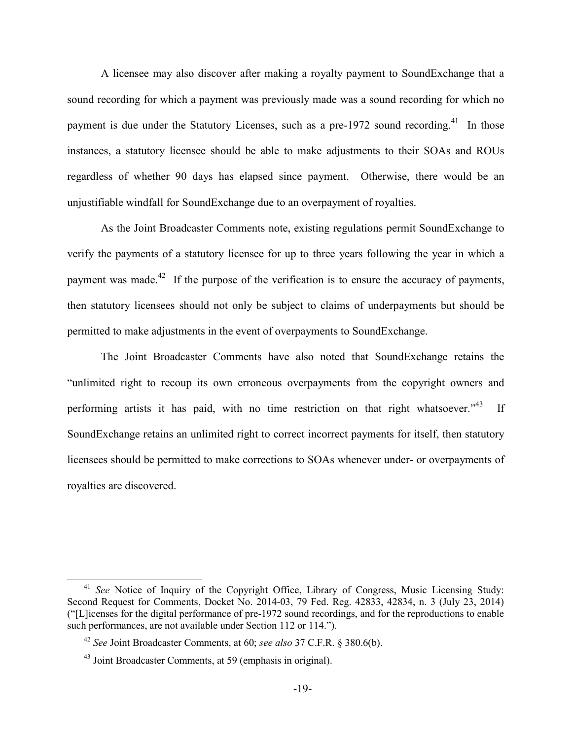A licensee may also discover after making a royalty payment to SoundExchange that a sound recording for which a payment was previously made was a sound recording for which no payment is due under the Statutory Licenses, such as a pre-1972 sound recording.<sup>41</sup> In those instances, a statutory licensee should be able to make adjustments to their SOAs and ROUs regardless of whether 90 days has elapsed since payment. Otherwise, there would be an unjustifiable windfall for SoundExchange due to an overpayment of royalties.

As the Joint Broadcaster Comments note, existing regulations permit SoundExchange to verify the payments of a statutory licensee for up to three years following the year in which a payment was made.<sup>42</sup> If the purpose of the verification is to ensure the accuracy of payments, then statutory licensees should not only be subject to claims of underpayments but should be permitted to make adjustments in the event of overpayments to SoundExchange.

The Joint Broadcaster Comments have also noted that SoundExchange retains the "unlimited right to recoup its own erroneous overpayments from the copyright owners and performing artists it has paid, with no time restriction on that right whatsoever.<sup> $343$ </sup> If SoundExchange retains an unlimited right to correct incorrect payments for itself, then statutory licensees should be permitted to make corrections to SOAs whenever under- or overpayments of royalties are discovered.

<sup>&</sup>lt;sup>41</sup> See Notice of Inquiry of the Copyright Office, Library of Congress, Music Licensing Study: Second Request for Comments, Docket No. 2014-03, 79 Fed. Reg. 42833, 42834, n. 3 (July 23, 2014) ("[L]icenses for the digital performance of pre-1972 sound recordings, and for the reproductions to enable such performances, are not available under Section 112 or 114.").

<sup>42</sup> *See* Joint Broadcaster Comments, at 60; *see also* 37 C.F.R. § 380.6(b).

<sup>43</sup> Joint Broadcaster Comments, at 59 (emphasis in original).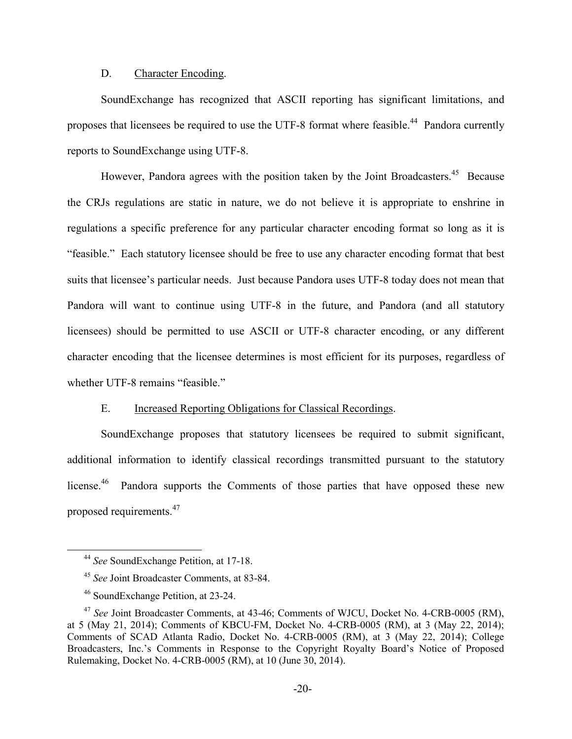#### D. Character Encoding.

SoundExchange has recognized that ASCII reporting has significant limitations, and proposes that licensees be required to use the UTF-8 format where feasible.<sup>44</sup> Pandora currently reports to SoundExchange using UTF-8.

However, Pandora agrees with the position taken by the Joint Broadcasters.<sup>45</sup> Because the CRJs regulations are static in nature, we do not believe it is appropriate to enshrine in regulations a specific preference for any particular character encoding format so long as it is "feasible." Each statutory licensee should be free to use any character encoding format that best suits that licensee's particular needs. Just because Pandora uses UTF-8 today does not mean that Pandora will want to continue using UTF-8 in the future, and Pandora (and all statutory licensees) should be permitted to use ASCII or UTF-8 character encoding, or any different character encoding that the licensee determines is most efficient for its purposes, regardless of whether UTF-8 remains "feasible."

#### E. Increased Reporting Obligations for Classical Recordings.

SoundExchange proposes that statutory licensees be required to submit significant, additional information to identify classical recordings transmitted pursuant to the statutory license<sup>46</sup> Pandora supports the Comments of those parties that have opposed these new proposed requirements.<sup>47</sup>

<sup>44</sup> *See* SoundExchange Petition, at 17-18.

<sup>45</sup> *See* Joint Broadcaster Comments, at 83-84.

<sup>46</sup> SoundExchange Petition, at 23-24.

<sup>47</sup> *See* Joint Broadcaster Comments, at 43-46; Comments of WJCU, Docket No. 4-CRB-0005 (RM), at 5 (May 21, 2014); Comments of KBCU-FM, Docket No. 4-CRB-0005 (RM), at 3 (May 22, 2014); Comments of SCAD Atlanta Radio, Docket No. 4-CRB-0005 (RM), at 3 (May 22, 2014); College Broadcasters, Inc.'s Comments in Response to the Copyright Royalty Board's Notice of Proposed Rulemaking, Docket No. 4-CRB-0005 (RM), at 10 (June 30, 2014).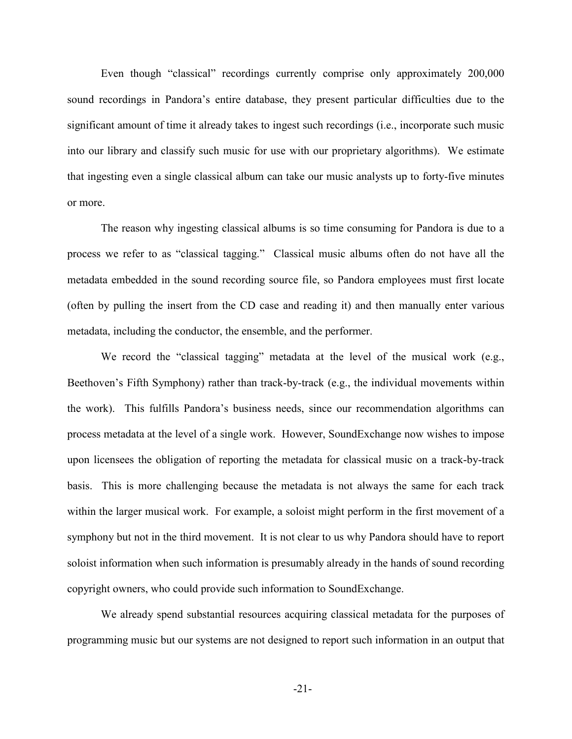Even though "classical" recordings currently comprise only approximately 200,000 sound recordings in Pandora's entire database, they present particular difficulties due to the significant amount of time it already takes to ingest such recordings (i.e., incorporate such music into our library and classify such music for use with our proprietary algorithms). We estimate that ingesting even a single classical album can take our music analysts up to forty-five minutes or more.

The reason why ingesting classical albums is so time consuming for Pandora is due to a process we refer to as "classical tagging." Classical music albums often do not have all the metadata embedded in the sound recording source file, so Pandora employees must first locate (often by pulling the insert from the CD case and reading it) and then manually enter various metadata, including the conductor, the ensemble, and the performer.

We record the "classical tagging" metadata at the level of the musical work (e.g., Beethoven's Fifth Symphony) rather than track-by-track (e.g., the individual movements within the work). This fulfills Pandora's business needs, since our recommendation algorithms can process metadata at the level of a single work. However, SoundExchange now wishes to impose upon licensees the obligation of reporting the metadata for classical music on a track-by-track basis. This is more challenging because the metadata is not always the same for each track within the larger musical work. For example, a soloist might perform in the first movement of a symphony but not in the third movement. It is not clear to us why Pandora should have to report soloist information when such information is presumably already in the hands of sound recording copyright owners, who could provide such information to SoundExchange.

We already spend substantial resources acquiring classical metadata for the purposes of programming music but our systems are not designed to report such information in an output that

-21-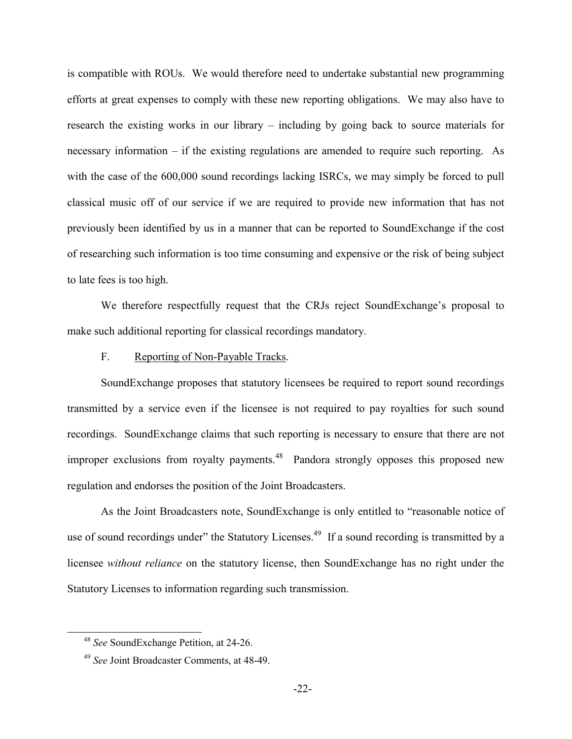is compatible with ROUs. We would therefore need to undertake substantial new programming efforts at great expenses to comply with these new reporting obligations. We may also have to research the existing works in our library – including by going back to source materials for necessary information – if the existing regulations are amended to require such reporting. As with the case of the 600,000 sound recordings lacking ISRCs, we may simply be forced to pull classical music off of our service if we are required to provide new information that has not previously been identified by us in a manner that can be reported to SoundExchange if the cost of researching such information is too time consuming and expensive or the risk of being subject to late fees is too high.

We therefore respectfully request that the CRJs reject SoundExchange's proposal to make such additional reporting for classical recordings mandatory.

#### F. Reporting of Non-Payable Tracks.

SoundExchange proposes that statutory licensees be required to report sound recordings transmitted by a service even if the licensee is not required to pay royalties for such sound recordings. SoundExchange claims that such reporting is necessary to ensure that there are not improper exclusions from royalty payments.<sup>48</sup> Pandora strongly opposes this proposed new regulation and endorses the position of the Joint Broadcasters.

As the Joint Broadcasters note, SoundExchange is only entitled to "reasonable notice of use of sound recordings under" the Statutory Licenses.<sup>49</sup> If a sound recording is transmitted by a licensee *without reliance* on the statutory license, then SoundExchange has no right under the Statutory Licenses to information regarding such transmission.

<sup>48</sup> *See* SoundExchange Petition, at 24-26.

<sup>49</sup> *See* Joint Broadcaster Comments, at 48-49.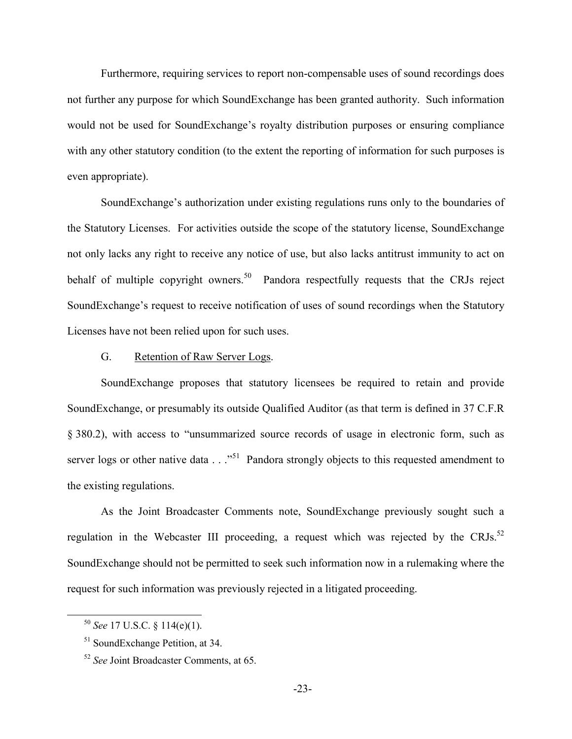Furthermore, requiring services to report non-compensable uses of sound recordings does not further any purpose for which SoundExchange has been granted authority. Such information would not be used for SoundExchange's royalty distribution purposes or ensuring compliance with any other statutory condition (to the extent the reporting of information for such purposes is even appropriate).

SoundExchange's authorization under existing regulations runs only to the boundaries of the Statutory Licenses. For activities outside the scope of the statutory license, SoundExchange not only lacks any right to receive any notice of use, but also lacks antitrust immunity to act on behalf of multiple copyright owners.<sup>50</sup> Pandora respectfully requests that the CRJs reject SoundExchange's request to receive notification of uses of sound recordings when the Statutory Licenses have not been relied upon for such uses.

### G. Retention of Raw Server Logs.

SoundExchange proposes that statutory licensees be required to retain and provide SoundExchange, or presumably its outside Qualified Auditor (as that term is defined in 37 C.F.R § 380.2), with access to "unsummarized source records of usage in electronic form, such as server logs or other native data . . ."<sup>51</sup> Pandora strongly objects to this requested amendment to the existing regulations.

As the Joint Broadcaster Comments note, SoundExchange previously sought such a regulation in the Webcaster III proceeding, a request which was rejected by the CRJs.<sup>52</sup> SoundExchange should not be permitted to seek such information now in a rulemaking where the request for such information was previously rejected in a litigated proceeding.

<sup>50</sup> *See* 17 U.S.C. § 114(e)(1).

<sup>51</sup> SoundExchange Petition, at 34.

<sup>52</sup> *See* Joint Broadcaster Comments, at 65.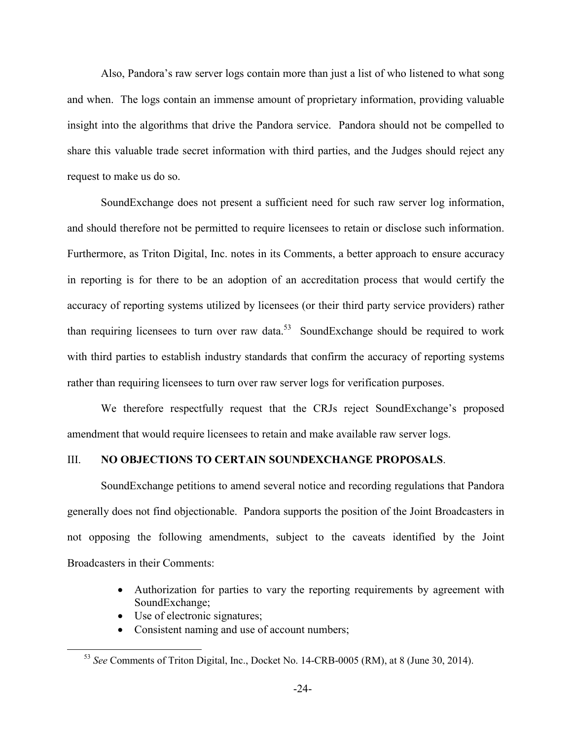Also, Pandora's raw server logs contain more than just a list of who listened to what song and when. The logs contain an immense amount of proprietary information, providing valuable insight into the algorithms that drive the Pandora service. Pandora should not be compelled to share this valuable trade secret information with third parties, and the Judges should reject any request to make us do so.

SoundExchange does not present a sufficient need for such raw server log information, and should therefore not be permitted to require licensees to retain or disclose such information. Furthermore, as Triton Digital, Inc. notes in its Comments, a better approach to ensure accuracy in reporting is for there to be an adoption of an accreditation process that would certify the accuracy of reporting systems utilized by licensees (or their third party service providers) rather than requiring licensees to turn over raw data.<sup>53</sup> SoundExchange should be required to work with third parties to establish industry standards that confirm the accuracy of reporting systems rather than requiring licensees to turn over raw server logs for verification purposes.

We therefore respectfully request that the CRJs reject SoundExchange's proposed amendment that would require licensees to retain and make available raw server logs.

#### III. **NO OBJECTIONS TO CERTAIN SOUNDEXCHANGE PROPOSALS**.

SoundExchange petitions to amend several notice and recording regulations that Pandora generally does not find objectionable. Pandora supports the position of the Joint Broadcasters in not opposing the following amendments, subject to the caveats identified by the Joint Broadcasters in their Comments:

- Authorization for parties to vary the reporting requirements by agreement with SoundExchange;
- Use of electronic signatures;
- Consistent naming and use of account numbers;

<sup>53</sup> *See* Comments of Triton Digital, Inc., Docket No. 14-CRB-0005 (RM), at 8 (June 30, 2014).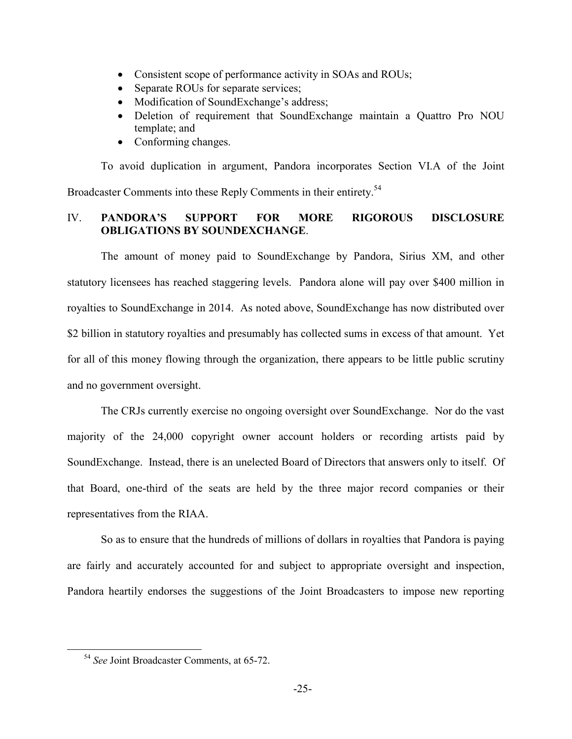- Consistent scope of performance activity in SOAs and ROUs;
- Separate ROUs for separate services;
- Modification of SoundExchange's address;
- Deletion of requirement that SoundExchange maintain a Quattro Pro NOU template; and
- Conforming changes.

To avoid duplication in argument, Pandora incorporates Section VI.A of the Joint Broadcaster Comments into these Reply Comments in their entirety.<sup>54</sup>

# IV. **PANDORA'S SUPPORT FOR MORE RIGOROUS DISCLOSURE OBLIGATIONS BY SOUNDEXCHANGE**.

The amount of money paid to SoundExchange by Pandora, Sirius XM, and other statutory licensees has reached staggering levels. Pandora alone will pay over \$400 million in royalties to SoundExchange in 2014. As noted above, SoundExchange has now distributed over \$2 billion in statutory royalties and presumably has collected sums in excess of that amount. Yet for all of this money flowing through the organization, there appears to be little public scrutiny and no government oversight.

The CRJs currently exercise no ongoing oversight over SoundExchange. Nor do the vast majority of the 24,000 copyright owner account holders or recording artists paid by SoundExchange. Instead, there is an unelected Board of Directors that answers only to itself. Of that Board, one-third of the seats are held by the three major record companies or their representatives from the RIAA.

So as to ensure that the hundreds of millions of dollars in royalties that Pandora is paying are fairly and accurately accounted for and subject to appropriate oversight and inspection, Pandora heartily endorses the suggestions of the Joint Broadcasters to impose new reporting

<sup>54</sup> *See* Joint Broadcaster Comments, at 65-72.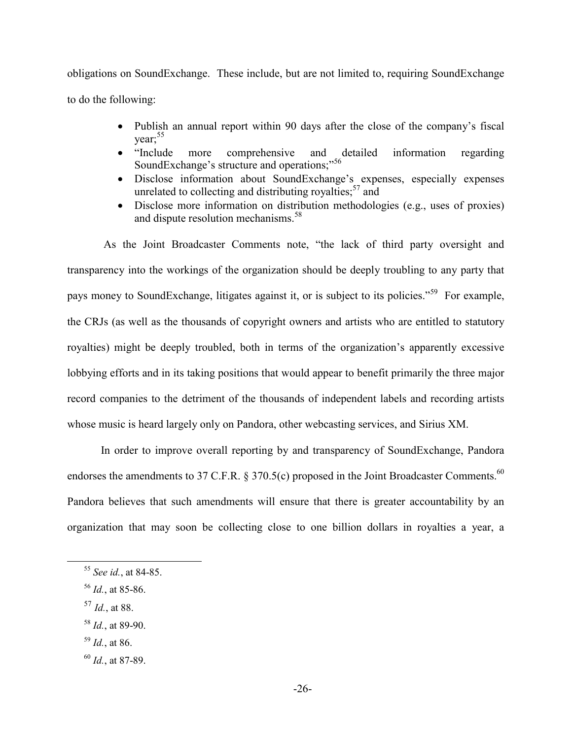obligations on SoundExchange. These include, but are not limited to, requiring SoundExchange to do the following:

- Publish an annual report within 90 days after the close of the company's fiscal  $year;$ <sup>55</sup>
- "Include more comprehensive and detailed information regarding SoundExchange's structure and operations;"<sup>56</sup>
- Disclose information about SoundExchange's expenses, especially expenses unrelated to collecting and distributing royalties;  $57$  and
- Disclose more information on distribution methodologies (e.g., uses of proxies) and dispute resolution mechanisms.<sup>58</sup>

As the Joint Broadcaster Comments note, "the lack of third party oversight and transparency into the workings of the organization should be deeply troubling to any party that pays money to SoundExchange, litigates against it, or is subject to its policies."<sup>59</sup> For example, the CRJs (as well as the thousands of copyright owners and artists who are entitled to statutory royalties) might be deeply troubled, both in terms of the organization's apparently excessive lobbying efforts and in its taking positions that would appear to benefit primarily the three major record companies to the detriment of the thousands of independent labels and recording artists whose music is heard largely only on Pandora, other webcasting services, and Sirius XM.

In order to improve overall reporting by and transparency of SoundExchange, Pandora endorses the amendments to 37 C.F.R.  $\S 370.5(c)$  proposed in the Joint Broadcaster Comments.<sup>60</sup> Pandora believes that such amendments will ensure that there is greater accountability by an organization that may soon be collecting close to one billion dollars in royalties a year, a

- <sup>57</sup> *Id.*, at 88.
- <sup>58</sup> *Id.*, at 89-90.
- <sup>59</sup> *Id.*, at 86.
- <sup>60</sup> *Id.*, at 87-89.

<sup>55</sup> *See id.*, at 84-85.

<sup>56</sup> *Id.*, at 85-86.